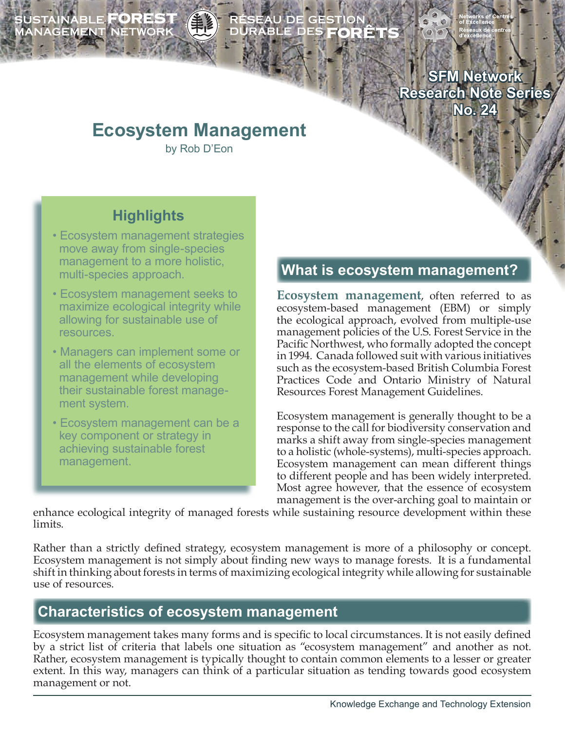# SUSTAINABLE **FOREST**<br>MANAGEMENT NETWORK

# ÉSEAU DE GESTION<br>URABLE DES **FORÊT**

**SFM Network Research Note Series No. 24**

# **Ecosystem Management**

by Rob D'Eon

# **Highlights**

- Ecosystem management strategies move away from single-species management to a more holistic, multi-species approach.
- Ecosystem management seeks to maximize ecological integrity while allowing for sustainable use of resources.
- Managers can implement some or all the elements of ecosystem management while developing their sustainable forest manage ment system.
- Ecosystem management can be a key component or strategy in achieving sustainable forest management.

### **What is ecosystem management?**

**Ecosystem management**, often referred to as ecosystem-based management (EBM) or simply the ecological approach, evolved from multiple-use management policies of the U.S. Forest Service in the Pacific Northwest, who formally adopted the concept in 1994. Canada followed suit with various initiatives such as the ecosystem-based British Columbia Forest Practices Code and Ontario Ministry of Natural Resources Forest Management Guidelines.

Ecosystem management is generally thought to be a response to the call for biodiversity conservation and marks a shift away from single-species management to a holistic (whole-systems), multi-species approach. Ecosystem management can mean different things to different people and has been widely interpreted. Most agree however, that the essence of ecosystem management is the over-arching goal to maintain or

enhance ecological integrity of managed forests while sustaining resource development within these limits.

Rather than a strictly defined strategy, ecosystem management is more of a philosophy or concept. Ecosystem management is not simply about finding new ways to manage forests. It is a fundamental shift in thinking about forests in terms of maximizing ecological integrity while allowing for sustainable use of resources.

## **Characteristics of ecosystem management**

Ecosystem management takes many forms and is specific to local circumstances. It is not easily defined by a strict list of criteria that labels one situation as "ecosystem management" and another as not. Rather, ecosystem management is typically thought to contain common elements to a lesser or greater extent. In this way, managers can think of a particular situation as tending towards good ecosystem management or not.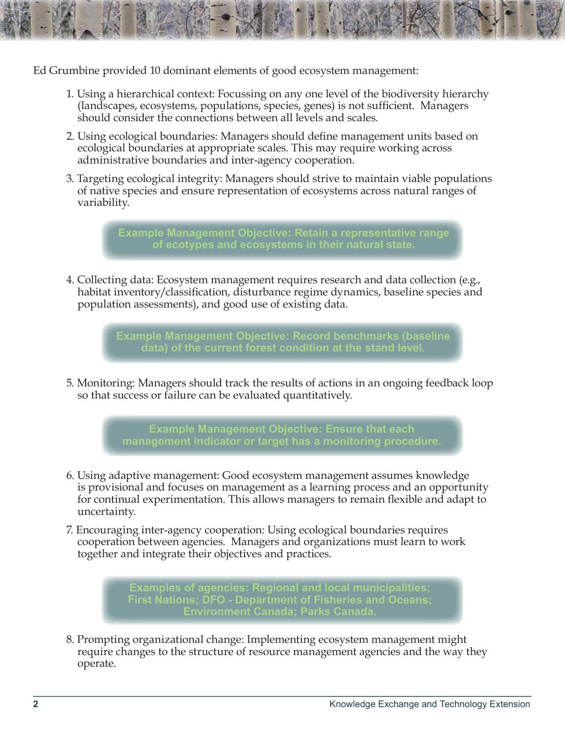Ed Grumbine provided 10 dominant elements of good ecosystem management:

- 1. Using a hierarchical context: Focussing on any one level of the biodiversity hierarchy (landscapes, ecosystems, populations, species, genes) is not sufficient. Managers should consider the connections between all levels and scales.
- 2. Using ecological boundaries: Managers should define management units based on ecological boundaries at appropriate scales. This may require working across administrative boundaries and inter-agency cooperation.
- 3. Targeting ecological integrity: Managers should strive to maintain viable populations of native species and ensure representation of ecosystems across natural ranges of variability.

**Example Management Objective: Retain a representative range of ecotypes and ecosystems in their natural state.** 

4. Collecting data: Ecosystem management requires research and data collection (e.g., habitat inventory/classification, disturbance regime dynamics, baseline species and population assessments), and good use of existing data.

> **Example Management Objective: Record benchmarks (baseline data) of the current forest condition at the stand level.**

5. Monitoring: Managers should track the results of actions in an ongoing feedback loop so that success or failure can be evaluated quantitatively.

> **Example Management Objective: Ensure that each management indicator or target has a monitoring procedure.**

- 6. Using adaptive management: Good ecosystem management assumes knowledge is provisional and focuses on management as a learning process and an opportunity for continual experimentation. This allows managers to remain flexible and adapt to uncertainty.
- 7. Encouraging inter-agency cooperation: Using ecological boundaries requires cooperation between agencies. Managers and organizations must learn to work together and integrate their objectives and practices.

**Examples of agencies: Regional and local municipalities; First Nations; DFO - Department of Fisheries and Oceans; Environment Canada; Parks Canada.** 

8. Prompting organizational change: Implementing ecosystem management might require changes to the structure of resource management agencies and the way they operate.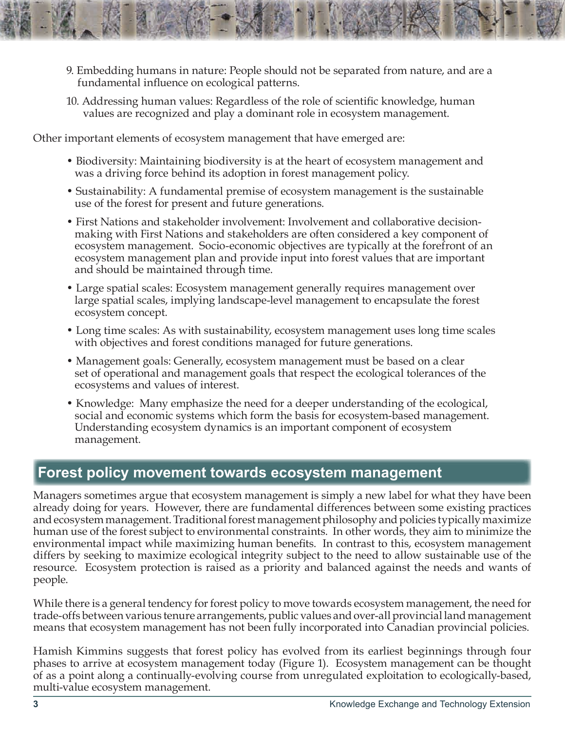- 9. Embedding humans in nature: People should not be separated from nature, and are a fundamental influence on ecological patterns.
- 10. Addressing human values: Regardless of the role of scientific knowledge, human values are recognized and play a dominant role in ecosystem management.

Other important elements of ecosystem management that have emerged are:

- Biodiversity: Maintaining biodiversity is at the heart of ecosystem management and was a driving force behind its adoption in forest management policy.
- Sustainability: A fundamental premise of ecosystem management is the sustainable use of the forest for present and future generations.
- First Nations and stakeholder involvement: Involvement and collaborative decision making with First Nations and stakeholders are often considered a key component of ecosystem management. Socio-economic objectives are typically at the forefront of an ecosystem management plan and provide input into forest values that are important and should be maintained through time.
- Large spatial scales: Ecosystem management generally requires management over large spatial scales, implying landscape-level management to encapsulate the forest ecosystem concept.
- Long time scales: As with sustainability, ecosystem management uses long time scales with objectives and forest conditions managed for future generations.
- Management goals: Generally, ecosystem management must be based on a clear set of operational and management goals that respect the ecological tolerances of the ecosystems and values of interest.
- Knowledge: Many emphasize the need for a deeper understanding of the ecological, social and economic systems which form the basis for ecosystem-based management. Understanding ecosystem dynamics is an important component of ecosystem management.

#### **Forest policy movement towards ecosystem management**

Managers sometimes argue that ecosystem management is simply a new label for what they have been already doing for years. However, there are fundamental differences between some existing practices and ecosystem management. Traditional forest management philosophy and policies typically maximize human use of the forest subject to environmental constraints. In other words, they aim to minimize the environmental impact while maximizing human benefits. In contrast to this, ecosystem management differs by seeking to maximize ecological integrity subject to the need to allow sustainable use of the resource. Ecosystem protection is raised as a priority and balanced against the needs and wants of people.

While there is a general tendency for forest policy to move towards ecosystem management, the need for trade-offs between various tenure arrangements, public values and over-all provincial land management means that ecosystem management has not been fully incorporated into Canadian provincial policies.

Hamish Kimmins suggests that forest policy has evolved from its earliest beginnings through four phases to arrive at ecosystem management today (Figure 1). Ecosystem management can be thought of as a point along a continually-evolving course from unregulated exploitation to ecologically-based, multi-value ecosystem management.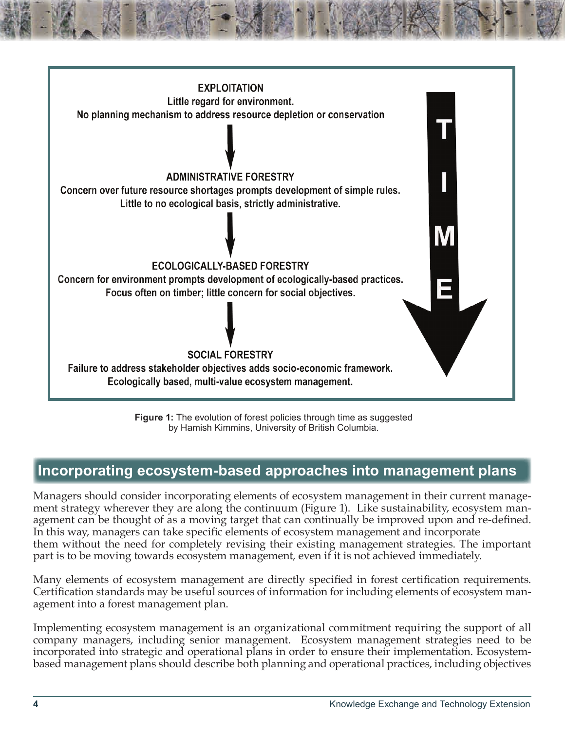

**Figure 1:** The evolution of forest policies through time as suggested by Hamish Kimmins, University of British Columbia.

### **Incorporating ecosystem-based approaches into management plans**

Managers should consider incorporating elements of ecosystem management in their current management strategy wherever they are along the continuum (Figure 1). Like sustainability, ecosystem management can be thought of as a moving target that can continually be improved upon and re-defined. In this way, managers can take specific elements of ecosystem management and incorporate them without the need for completely revising their existing management strategies. The important part is to be moving towards ecosystem management, even if it is not achieved immediately.

Many elements of ecosystem management are directly specified in forest certification requirements. Certification standards may be useful sources of information for including elements of ecosystem management into a forest management plan.

Implementing ecosystem management is an organizational commitment requiring the support of all company managers, including senior management. Ecosystem management strategies need to be incorporated into strategic and operational plans in order to ensure their implementation. Ecosystembased management plans should describe both planning and operational practices, including objectives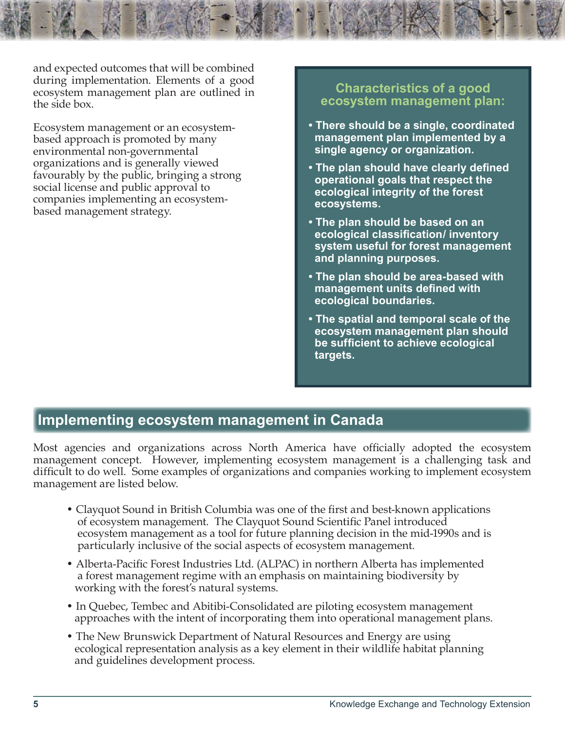and expected outcomes that will be combined during implementation. Elements of a good ecosystem management plan are outlined in the side box.

Ecosystem management or an ecosystembased approach is promoted by many environmental non-governmental organizations and is generally viewed favourably by the public, bringing a strong social license and public approval to companies implementing an ecosystembased management strategy.

#### **Characteristics of a good ecosystem management plan:**

- **There should be a single, coordinated management plan implemented by a single agency or organization.**
- **The plan should have clearly defined operational goals that respect the ecological integrity of the forest ecosystems.**
- **The plan should be based on an ecological classification/ inventory system useful for forest management and planning purposes.**
- **The plan should be area-based with management units defined with ecological boundaries.**
- **The spatial and temporal scale of the ecosystem management plan should be sufficient to achieve ecological targets.**

#### **Implementing ecosystem management in Canada**

Most agencies and organizations across North America have officially adopted the ecosystem management concept. However, implementing ecosystem management is a challenging task and difficult to do well. Some examples of organizations and companies working to implement ecosystem management are listed below.

- Clayquot Sound in British Columbia was one of the first and best-known applications of ecosystem management. The Clayquot Sound Scientific Panel introduced ecosystem management as a tool for future planning decision in the mid-1990s and is particularly inclusive of the social aspects of ecosystem management.
- Alberta-Pacific Forest Industries Ltd. (ALPAC) in northern Alberta has implemented a forest management regime with an emphasis on maintaining biodiversity by working with the forest's natural systems.
- In Quebec, Tembec and Abitibi-Consolidated are piloting ecosystem management approaches with the intent of incorporating them into operational management plans.
- The New Brunswick Department of Natural Resources and Energy are using ecological representation analysis as a key element in their wildlife habitat planning and guidelines development process.